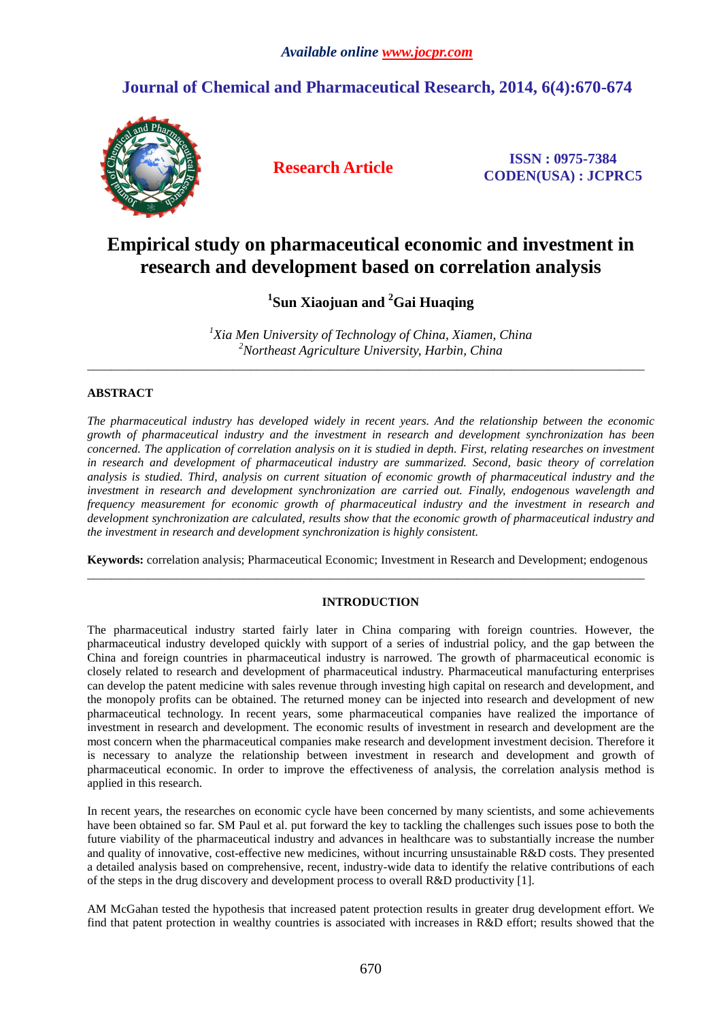## **Journal of Chemical and Pharmaceutical Research, 2014, 6(4):670-674**



**Research Article ISSN : 0975-7384 CODEN(USA) : JCPRC5**

# **Empirical study on pharmaceutical economic and investment in research and development based on correlation analysis**

**1 Sun Xiaojuan and <sup>2</sup>Gai Huaqing** 

*<sup>1</sup>Xia Men University of Technology of China, Xiamen, China <sup>2</sup>Northeast Agriculture University, Harbin, China* 

\_\_\_\_\_\_\_\_\_\_\_\_\_\_\_\_\_\_\_\_\_\_\_\_\_\_\_\_\_\_\_\_\_\_\_\_\_\_\_\_\_\_\_\_\_\_\_\_\_\_\_\_\_\_\_\_\_\_\_\_\_\_\_\_\_\_\_\_\_\_\_\_\_\_\_\_\_\_\_\_\_\_\_\_\_\_\_\_\_\_\_\_

## **ABSTRACT**

*The pharmaceutical industry has developed widely in recent years. And the relationship between the economic growth of pharmaceutical industry and the investment in research and development synchronization has been concerned. The application of correlation analysis on it is studied in depth. First, relating researches on investment in research and development of pharmaceutical industry are summarized. Second, basic theory of correlation analysis is studied. Third, analysis on current situation of economic growth of pharmaceutical industry and the investment in research and development synchronization are carried out. Finally, endogenous wavelength and frequency measurement for economic growth of pharmaceutical industry and the investment in research and development synchronization are calculated, results show that the economic growth of pharmaceutical industry and the investment in research and development synchronization is highly consistent.* 

**Keywords:** correlation analysis; Pharmaceutical Economic; Investment in Research and Development; endogenous \_\_\_\_\_\_\_\_\_\_\_\_\_\_\_\_\_\_\_\_\_\_\_\_\_\_\_\_\_\_\_\_\_\_\_\_\_\_\_\_\_\_\_\_\_\_\_\_\_\_\_\_\_\_\_\_\_\_\_\_\_\_\_\_\_\_\_\_\_\_\_\_\_\_\_\_\_\_\_\_\_\_\_\_\_\_\_\_\_\_\_\_

## **INTRODUCTION**

The pharmaceutical industry started fairly later in China comparing with foreign countries. However, the pharmaceutical industry developed quickly with support of a series of industrial policy, and the gap between the China and foreign countries in pharmaceutical industry is narrowed. The growth of pharmaceutical economic is closely related to research and development of pharmaceutical industry. Pharmaceutical manufacturing enterprises can develop the patent medicine with sales revenue through investing high capital on research and development, and the monopoly profits can be obtained. The returned money can be injected into research and development of new pharmaceutical technology. In recent years, some pharmaceutical companies have realized the importance of investment in research and development. The economic results of investment in research and development are the most concern when the pharmaceutical companies make research and development investment decision. Therefore it is necessary to analyze the relationship between investment in research and development and growth of pharmaceutical economic. In order to improve the effectiveness of analysis, the correlation analysis method is applied in this research.

In recent years, the researches on economic cycle have been concerned by many scientists, and some achievements have been obtained so far. SM Paul et al. put forward the key to tackling the challenges such issues pose to both the future viability of the pharmaceutical industry and advances in healthcare was to substantially increase the number and quality of innovative, cost-effective new medicines, without incurring unsustainable R&D costs. They presented a detailed analysis based on comprehensive, recent, industry-wide data to identify the relative contributions of each of the steps in the drug discovery and development process to overall R&D productivity [1].

AM McGahan tested the hypothesis that increased patent protection results in greater drug development effort. We find that patent protection in wealthy countries is associated with increases in R&D effort; results showed that the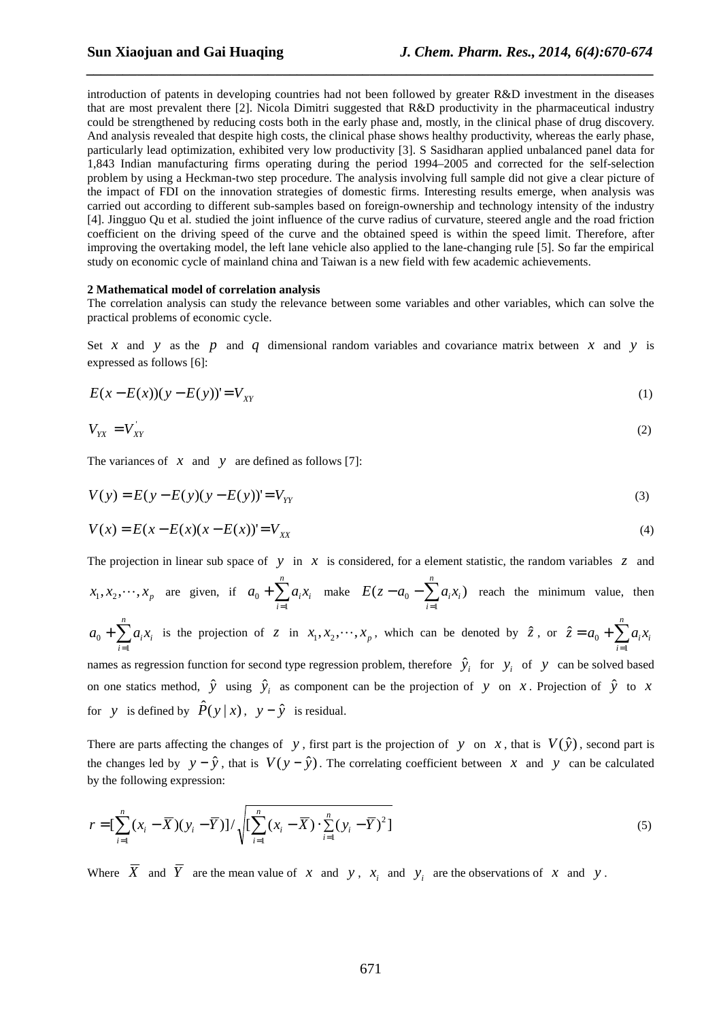introduction of patents in developing countries had not been followed by greater R&D investment in the diseases that are most prevalent there [2]. Nicola Dimitri suggested that R&D productivity in the pharmaceutical industry could be strengthened by reducing costs both in the early phase and, mostly, in the clinical phase of drug discovery. And analysis revealed that despite high costs, the clinical phase shows healthy productivity, whereas the early phase, particularly lead optimization, exhibited very low productivity [3]. S Sasidharan applied unbalanced panel data for 1,843 Indian manufacturing firms operating during the period 1994–2005 and corrected for the self-selection problem by using a Heckman-two step procedure. The analysis involving full sample did not give a clear picture of the impact of FDI on the innovation strategies of domestic firms. Interesting results emerge, when analysis was carried out according to different sub-samples based on foreign-ownership and technology intensity of the industry [4]. Jingguo Qu et al. studied the joint influence of the curve radius of curvature, steered angle and the road friction coefficient on the driving speed of the curve and the obtained speed is within the speed limit. Therefore, after improving the overtaking model, the left lane vehicle also applied to the lane-changing rule [5]. So far the empirical study on economic cycle of mainland china and Taiwan is a new field with few academic achievements.

*\_\_\_\_\_\_\_\_\_\_\_\_\_\_\_\_\_\_\_\_\_\_\_\_\_\_\_\_\_\_\_\_\_\_\_\_\_\_\_\_\_\_\_\_\_\_\_\_\_\_\_\_\_\_\_\_\_\_\_\_\_\_\_\_\_\_\_\_\_\_\_\_\_\_\_\_\_\_*

## **2 Mathematical model of correlation analysis**

The correlation analysis can study the relevance between some variables and other variables, which can solve the practical problems of economic cycle.

Set *x* and *y* as the *p* and *q* dimensional random variables and covariance matrix between *x* and *y* is expressed as follows [6]:

$$
E(x - E(x))(y - E(y)) = V_{XY}
$$
 (1)

$$
V_{YX} = V_{XY} \tag{2}
$$

The variances of *x* and *y* are defined as follows [7]:

$$
V(y) = E(y - E(y))(y - E(y))' = V_{YY}
$$
\n(3)

$$
V(x) = E(x - E(x)(x - E(x)) = V_{xx}
$$
\n(4)

The projection in linear sub space of *y* in *x* is considered, for a element statistic, the random variables *z* and

$$
x_1, x_2, \dots, x_p
$$
 are given, if  $a_0 + \sum_{i=1}^n a_i x_i$  make  $E(z - a_0 - \sum_{i=1}^n a_i x_i)$  reach the minimum value, then

$$
a_0 + \sum_{i=1}^n a_i x_i
$$
 is the projection of z in  $x_1, x_2, \dots, x_p$ , which can be denoted by  $\hat{z}$ , or  $\hat{z} = a_0 + \sum_{i=1}^n a_i x_i$ 

names as regression function for second type regression problem, therefore  $\hat{y}_i$  for  $y_i$  of y can be solved based on one statics method,  $\hat{y}$  using  $\hat{y}$  as component can be the projection of *y* on *x*. Projection of  $\hat{y}$  to *x* for *y* is defined by  $\hat{P}(y|x)$ ,  $y - \hat{y}$  is residual.

There are parts affecting the changes of *y*, first part is the projection of *y* on *x*, that is  $V(\hat{y})$ , second part is the changes led by  $y - \hat{y}$ , that is  $V(y - \hat{y})$ . The correlating coefficient between *x* and *y* can be calculated by the following expression:

$$
r = \left[\sum_{i=1}^{n} (x_i - \overline{X})(y_i - \overline{Y})\right] / \sqrt{\left[\sum_{i=1}^{n} (x_i - \overline{X}) \cdot \sum_{i=1}^{n} (y_i - \overline{Y})^2\right]}
$$
(5)

Where *X* and *Y* are the mean value of *x* and *y*,  $x_i$  and  $y_i$  are the observations of *x* and *y*.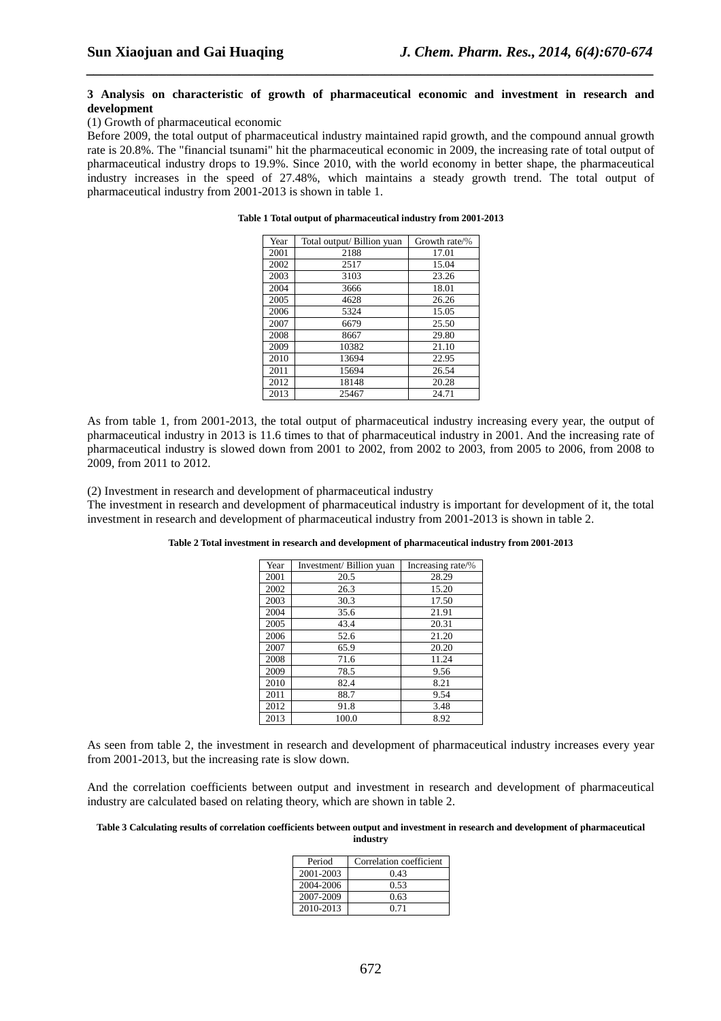### **3 Analysis on characteristic of growth of pharmaceutical economic and investment in research and development**

*\_\_\_\_\_\_\_\_\_\_\_\_\_\_\_\_\_\_\_\_\_\_\_\_\_\_\_\_\_\_\_\_\_\_\_\_\_\_\_\_\_\_\_\_\_\_\_\_\_\_\_\_\_\_\_\_\_\_\_\_\_\_\_\_\_\_\_\_\_\_\_\_\_\_\_\_\_\_*

#### (1) Growth of pharmaceutical economic

Before 2009, the total output of pharmaceutical industry maintained rapid growth, and the compound annual growth rate is 20.8%. The "financial tsunami" hit the pharmaceutical economic in 2009, the increasing rate of total output of pharmaceutical industry drops to 19.9%. Since 2010, with the world economy in better shape, the pharmaceutical industry increases in the speed of 27.48%, which maintains a steady growth trend. The total output of pharmaceutical industry from 2001-2013 is shown in table 1.

| Year | Total output/ Billion yuan | Growth rate/% |
|------|----------------------------|---------------|
| 2001 | 2188                       | 17.01         |
| 2002 | 2517                       | 15.04         |
| 2003 | 3103                       | 23.26         |
| 2004 | 3666                       | 18.01         |
| 2005 | 4628                       | 26.26         |
| 2006 | 5324                       | 15.05         |
| 2007 | 6679                       | 25.50         |
| 2008 | 8667                       | 29.80         |
| 2009 | 10382                      | 21.10         |
| 2010 | 13694                      | 22.95         |
| 2011 | 15694                      | 26.54         |
| 2012 | 18148                      | 20.28         |
| 2013 | 25467                      | 24.71         |

**Table 1 Total output of pharmaceutical industry from 2001-2013** 

As from table 1, from 2001-2013, the total output of pharmaceutical industry increasing every year, the output of pharmaceutical industry in 2013 is 11.6 times to that of pharmaceutical industry in 2001. And the increasing rate of pharmaceutical industry is slowed down from 2001 to 2002, from 2002 to 2003, from 2005 to 2006, from 2008 to 2009, from 2011 to 2012.

(2) Investment in research and development of pharmaceutical industry

The investment in research and development of pharmaceutical industry is important for development of it, the total investment in research and development of pharmaceutical industry from 2001-2013 is shown in table 2.

| Year | Investment/ Billion yuan | Increasing rate/% |
|------|--------------------------|-------------------|
| 2001 | 20.5                     | 28.29             |
| 2002 | 26.3                     | 15.20             |
| 2003 | 30.3                     | 17.50             |
| 2004 | 35.6                     | 21.91             |
| 2005 | 43.4                     | 20.31             |
| 2006 | 52.6                     | 21.20             |
| 2007 | 65.9                     | 20.20             |
| 2008 | 71.6                     | 11.24             |
| 2009 | 78.5                     | 9.56              |
| 2010 | 82.4                     | 8.21              |
| 2011 | 88.7                     | 9.54              |
| 2012 | 91.8                     | 3.48              |
| 2013 | 100.0                    | 8.92              |

As seen from table 2, the investment in research and development of pharmaceutical industry increases every year from 2001-2013, but the increasing rate is slow down.

And the correlation coefficients between output and investment in research and development of pharmaceutical industry are calculated based on relating theory, which are shown in table 2.

#### **Table 3 Calculating results of correlation coefficients between output and investment in research and development of pharmaceutical industry**

| Period    | Correlation coefficient |
|-----------|-------------------------|
| 2001-2003 | 0.43                    |
| 2004-2006 | 0.53                    |
| 2007-2009 | 0.63                    |
| 2010-2013 | 0.71                    |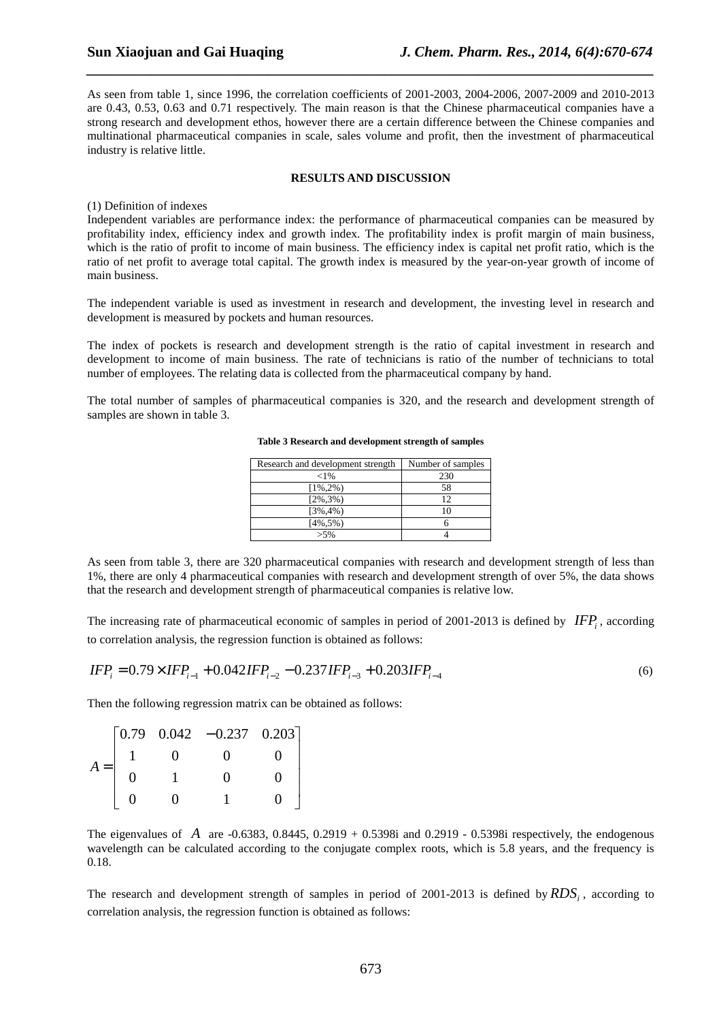As seen from table 1, since 1996, the correlation coefficients of 2001-2003, 2004-2006, 2007-2009 and 2010-2013 are 0.43, 0.53, 0.63 and 0.71 respectively. The main reason is that the Chinese pharmaceutical companies have a strong research and development ethos, however there are a certain difference between the Chinese companies and multinational pharmaceutical companies in scale, sales volume and profit, then the investment of pharmaceutical industry is relative little.

*\_\_\_\_\_\_\_\_\_\_\_\_\_\_\_\_\_\_\_\_\_\_\_\_\_\_\_\_\_\_\_\_\_\_\_\_\_\_\_\_\_\_\_\_\_\_\_\_\_\_\_\_\_\_\_\_\_\_\_\_\_\_\_\_\_\_\_\_\_\_\_\_\_\_\_\_\_\_*

#### **RESULTS AND DISCUSSION**

### (1) Definition of indexes

Independent variables are performance index: the performance of pharmaceutical companies can be measured by profitability index, efficiency index and growth index. The profitability index is profit margin of main business, which is the ratio of profit to income of main business. The efficiency index is capital net profit ratio, which is the ratio of net profit to average total capital. The growth index is measured by the year-on-year growth of income of main business.

The independent variable is used as investment in research and development, the investing level in research and development is measured by pockets and human resources.

The index of pockets is research and development strength is the ratio of capital investment in research and development to income of main business. The rate of technicians is ratio of the number of technicians to total number of employees. The relating data is collected from the pharmaceutical company by hand.

The total number of samples of pharmaceutical companies is 320, and the research and development strength of samples are shown in table 3.

| Research and development strength | Number of samples |
|-----------------------------------|-------------------|
| ${<}1\%$                          | 230               |
| $[1\%, 2\%)$                      | 58                |
| $[2\%, 3\%)$                      | 12                |
| $[3\%, 4\%)$                      | 10                |
| $[4\%, 5\%)$                      |                   |
| $> 5\%$                           |                   |

**Table 3 Research and development strength of samples** 

As seen from table 3, there are 320 pharmaceutical companies with research and development strength of less than 1%, there are only 4 pharmaceutical companies with research and development strength of over 5%, the data shows that the research and development strength of pharmaceutical companies is relative low.

The increasing rate of pharmaceutical economic of samples in period of 2001-2013 is defined by  $IFP_i$ , according to correlation analysis, the regression function is obtained as follows:

$$
IFP_i = 0.79 \times IFP_{i-1} + 0.042 IFP_{i-2} - 0.237 IFP_{i-3} + 0.203 IFP_{i-4}
$$
\n
$$
\tag{6}
$$

Then the following regression matrix can be obtained as follows:

|       |  | $\begin{bmatrix} 0.79 & 0.042 & -0.237 & 0.203 \end{bmatrix}$ |  |
|-------|--|---------------------------------------------------------------|--|
| $A =$ |  |                                                               |  |
|       |  |                                                               |  |
|       |  |                                                               |  |

The eigenvalues of *A* are -0.6383, 0.8445, 0.2919 + 0.5398i and 0.2919 - 0.5398i respectively, the endogenous wavelength can be calculated according to the conjugate complex roots, which is 5.8 years, and the frequency is 0.18.

The research and development strength of samples in period of 2001-2013 is defined by *RDS<sup>i</sup>* , according to correlation analysis, the regression function is obtained as follows: